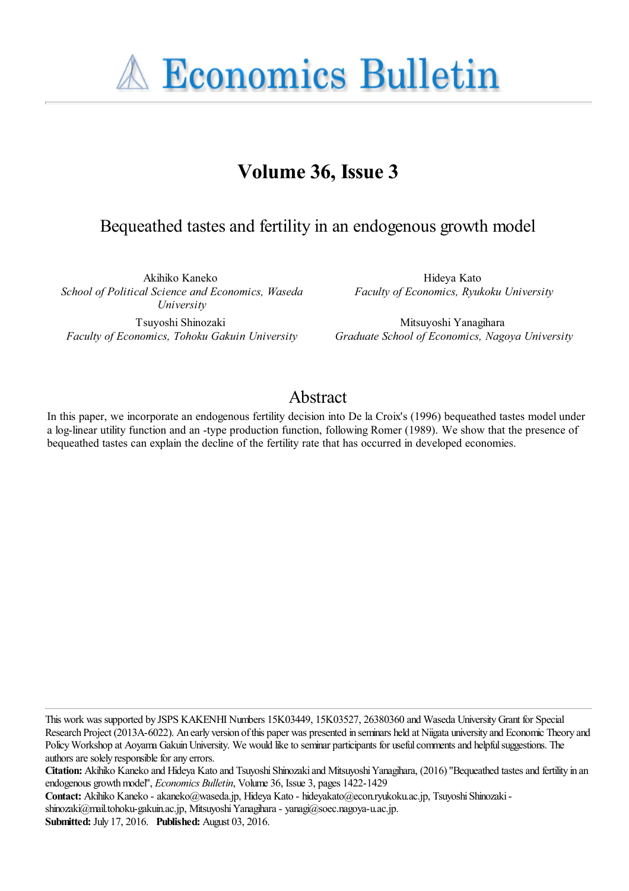**A Economics Bulletin** 

# **Volume 36, Issue 3**

# Bequeathed tastes and fertility in an endogenous growth model

Akihiko Kaneko *School of Political Science and Economics, Waseda University*

Tsuyoshi Shinozaki *Faculty of Economics, Tohoku Gakuin University*

Hideya Kato *Faculty of Economics, Ryukoku University*

Mitsuyoshi Yanagihara *Graduate School of Economics, Nagoya University*

# Abstract

In this paper, we incorporate an endogenous fertility decision into De la Croix's (1996) bequeathed tastes model under a log-linear utility function and an -type production function, following Romer (1989). We show that the presence of bequeathed tastes can explain the decline of the fertility rate that has occurred in developed economies.

This work was supported by JSPS KAKENHI Numbers 15K03449, 15K03527, 26380360 and Waseda University Grant for Special Research Project (2013A-6022). An early version of this paper was presented in seminars held at Niigata university and Economic Theory and Policy Workshop at Aoyama Gakuin University. We would like to seminar participants for useful comments and helpful suggestions. The authors are solely responsible for any errors.

**Citation:** Akihiko Kaneko and Hideya Kato and Tsuyoshi Shinozaki and Mitsuyoshi Yanagihara, (2016) ''Bequeathed tastes and fertility in an endogenous growth model'', *Economics Bulletin*, Volume 36, Issue 3, pages 1422-1429

**Contact:** Akihiko Kaneko - akaneko@waseda.jp, Hideya Kato - hideyakato@econ.ryukoku.ac.jp, Tsuyoshi Shinozaki shinozaki@mail.tohoku-gakuin.ac.jp, Mitsuyoshi Yanagihara - yanagi@soec.nagoya-u.ac.jp.

**Submitted:** July 17, 2016. **Published:** August 03, 2016.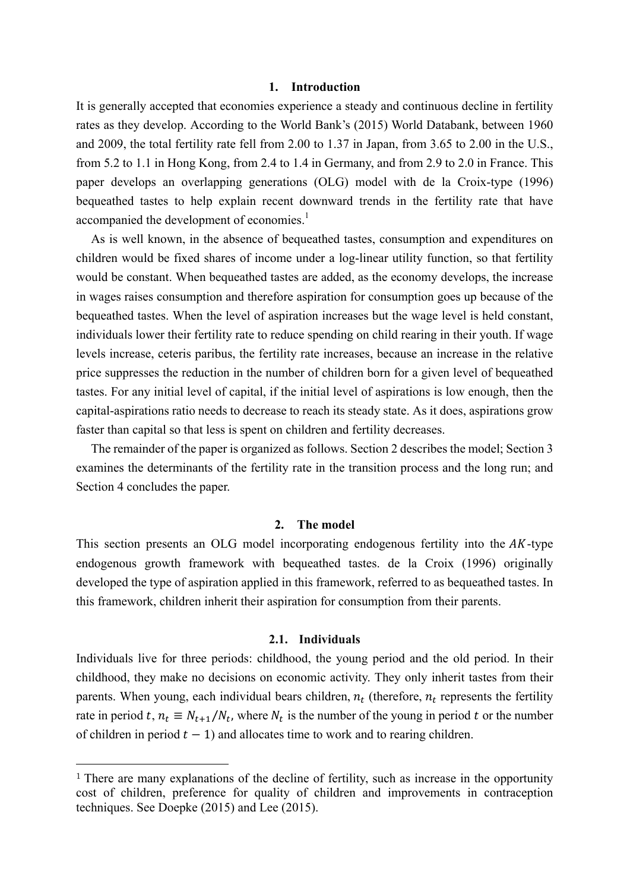### **1. Introduction**

It is generally accepted that economies experience a steady and continuous decline in fertility rates as they develop. According to the World Bank's (2015) World Databank, between 1960 and 2009, the total fertility rate fell from 2.00 to 1.37 in Japan, from 3.65 to 2.00 in the U.S., from 5.2 to 1.1 in Hong Kong, from 2.4 to 1.4 in Germany, and from 2.9 to 2.0 in France. This paper develops an overlapping generations (OLG) model with de la Croix-type (1996) bequeathed tastes to help explain recent downward trends in the fertility rate that have accompanied the development of economies.<sup>1</sup>

As is well known, in the absence of bequeathed tastes, consumption and expenditures on children would be fixed shares of income under a log-linear utility function, so that fertility would be constant. When bequeathed tastes are added, as the economy develops, the increase in wages raises consumption and therefore aspiration for consumption goes up because of the bequeathed tastes. When the level of aspiration increases but the wage level is held constant, individuals lower their fertility rate to reduce spending on child rearing in their youth. If wage levels increase, ceteris paribus, the fertility rate increases, because an increase in the relative price suppresses the reduction in the number of children born for a given level of bequeathed tastes. For any initial level of capital, if the initial level of aspirations is low enough, then the capital-aspirations ratio needs to decrease to reach its steady state. As it does, aspirations grow faster than capital so that less is spent on children and fertility decreases.

The remainder of the paper is organized as follows. Section 2 describes the model; Section 3 examines the determinants of the fertility rate in the transition process and the long run; and Section 4 concludes the paper.

#### **2. The model**

This section presents an OLG model incorporating endogenous fertility into the  $AK$ -type endogenous growth framework with bequeathed tastes. de la Croix (1996) originally developed the type of aspiration applied in this framework, referred to as bequeathed tastes. In this framework, children inherit their aspiration for consumption from their parents.

#### **2.1. Individuals**

Individuals live for three periods: childhood, the young period and the old period. In their childhood, they make no decisions on economic activity. They only inherit tastes from their parents. When young, each individual bears children,  $n_t$  (therefore,  $n_t$  represents the fertility rate in period t,  $n_t \equiv N_{t+1}/N_t$ , where  $N_t$  is the number of the young in period t or the number of children in period  $t - 1$ ) and allocates time to work and to rearing children.

 $\overline{a}$ 

<sup>&</sup>lt;sup>1</sup> There are many explanations of the decline of fertility, such as increase in the opportunity cost of children, preference for quality of children and improvements in contraception techniques. See Doepke (2015) and Lee (2015).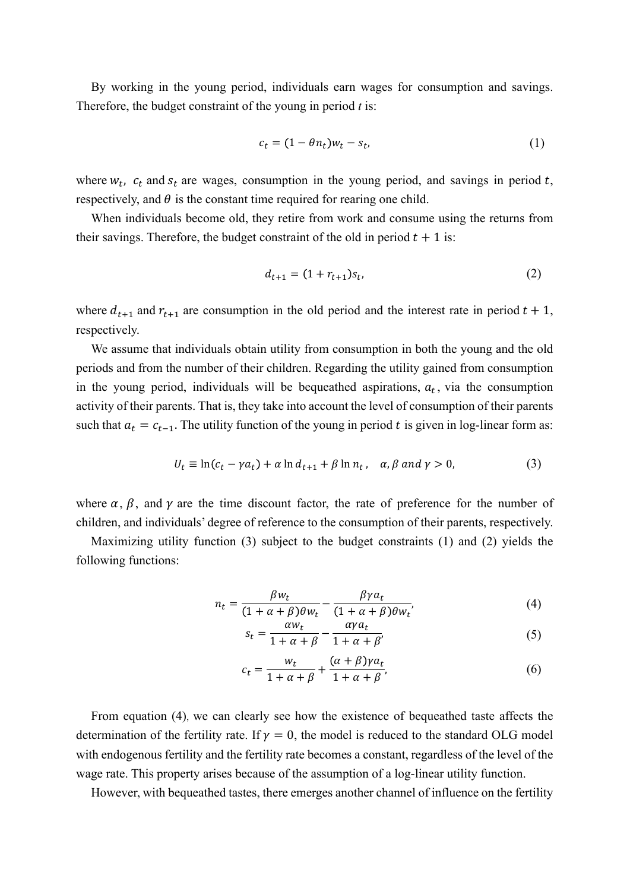By working in the young period, individuals earn wages for consumption and savings. Therefore, the budget constraint of the young in period *t* is:

$$
c_t = (1 - \theta n_t) w_t - s_t, \tag{1}
$$

where  $w_t$ ,  $c_t$  and  $s_t$  are wages, consumption in the young period, and savings in period t, respectively, and  $\theta$  is the constant time required for rearing one child.

When individuals become old, they retire from work and consume using the returns from their savings. Therefore, the budget constraint of the old in period  $t + 1$  is:

$$
d_{t+1} = (1 + r_{t+1})s_t, \tag{2}
$$

where  $d_{t+1}$  and  $r_{t+1}$  are consumption in the old period and the interest rate in period  $t + 1$ , respectively.

We assume that individuals obtain utility from consumption in both the young and the old periods and from the number of their children. Regarding the utility gained from consumption in the young period, individuals will be bequeathed aspirations,  $a_t$ , via the consumption activity of their parents. That is, they take into account the level of consumption of their parents such that  $a_t = c_{t-1}$ . The utility function of the young in period t is given in log-linear form as:

$$
U_t \equiv \ln(c_t - \gamma a_t) + \alpha \ln d_{t+1} + \beta \ln n_t, \quad \alpha, \beta \text{ and } \gamma > 0,
$$
 (3)

where  $\alpha$ ,  $\beta$ , and  $\gamma$  are the time discount factor, the rate of preference for the number of children, and individuals' degree of reference to the consumption of their parents, respectively.

Maximizing utility function (3) subject to the budget constraints (1) and (2) yields the following functions:

$$
n_t = \frac{\beta w_t}{(1 + \alpha + \beta)\theta w_t} - \frac{\beta \gamma a_t}{(1 + \alpha + \beta)\theta w_t'},
$$
(4)

$$
s_t = \frac{\alpha w_t}{1 + \alpha + \beta} - \frac{\alpha \gamma a_t}{1 + \alpha + \beta'},\tag{5}
$$

$$
c_t = \frac{w_t}{1 + \alpha + \beta} + \frac{(\alpha + \beta)\gamma a_t}{1 + \alpha + \beta},\tag{6}
$$

From equation (4), we can clearly see how the existence of bequeathed taste affects the determination of the fertility rate. If  $v = 0$ , the model is reduced to the standard OLG model with endogenous fertility and the fertility rate becomes a constant, regardless of the level of the wage rate. This property arises because of the assumption of a log-linear utility function.

However, with bequeathed tastes, there emerges another channel of influence on the fertility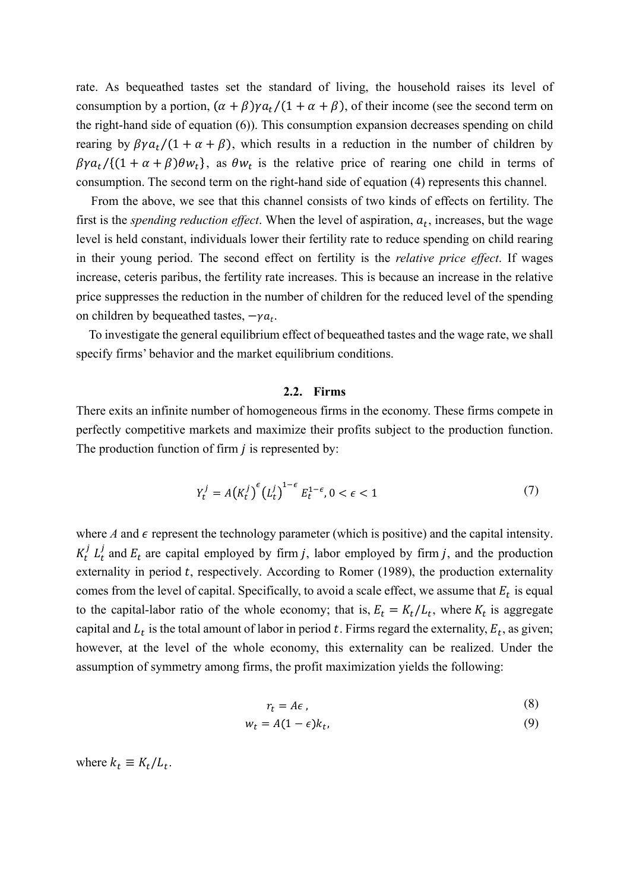rate. As bequeathed tastes set the standard of living, the household raises its level of consumption by a portion,  $(\alpha + \beta)\gamma a_t/(1 + \alpha + \beta)$ , of their income (see the second term on the right-hand side of equation (6)). This consumption expansion decreases spending on child rearing by  $\beta \gamma a_t/(1 + \alpha + \beta)$ , which results in a reduction in the number of children by  $\beta \gamma a_t / \{(1 + \alpha + \beta) \theta w_t\}$ , as  $\theta w_t$  is the relative price of rearing one child in terms of consumption. The second term on the right-hand side of equation (4) represents this channel.

From the above, we see that this channel consists of two kinds of effects on fertility. The first is the *spending reduction effect*. When the level of aspiration,  $a_t$ , increases, but the wage level is held constant, individuals lower their fertility rate to reduce spending on child rearing in their young period. The second effect on fertility is the *relative price effect*. If wages increase, ceteris paribus, the fertility rate increases. This is because an increase in the relative price suppresses the reduction in the number of children for the reduced level of the spending on children by bequeathed tastes,  $-\gamma a_t$ .

To investigate the general equilibrium effect of bequeathed tastes and the wage rate, we shall specify firms' behavior and the market equilibrium conditions.

#### **2.2. Firms**

There exits an infinite number of homogeneous firms in the economy. These firms compete in perfectly competitive markets and maximize their profits subject to the production function. The production function of firm  $j$  is represented by:

$$
Y_t^j = A(K_t^j)^\epsilon (L_t^j)^{1-\epsilon} E_t^{1-\epsilon}, 0 < \epsilon < 1
$$
 (7)

where *A* and  $\epsilon$  represent the technology parameter (which is positive) and the capital intensity.  $K_t^j L_t^j$  and  $E_t$  are capital employed by firm j, labor employed by firm j, and the production externality in period  $t$ , respectively. According to Romer (1989), the production externality comes from the level of capital. Specifically, to avoid a scale effect, we assume that  $E_t$  is equal to the capital-labor ratio of the whole economy; that is,  $E_t = K_t/L_t$ , where  $K_t$  is aggregate capital and  $L_t$  is the total amount of labor in period t. Firms regard the externality,  $E_t$ , as given; however, at the level of the whole economy, this externality can be realized. Under the assumption of symmetry among firms, the profit maximization yields the following:

$$
r_t = A\epsilon \,,\tag{8}
$$

$$
w_t = A(1 - \epsilon)k_t, \tag{9}
$$

where  $k_t \equiv K_t / L_t$ .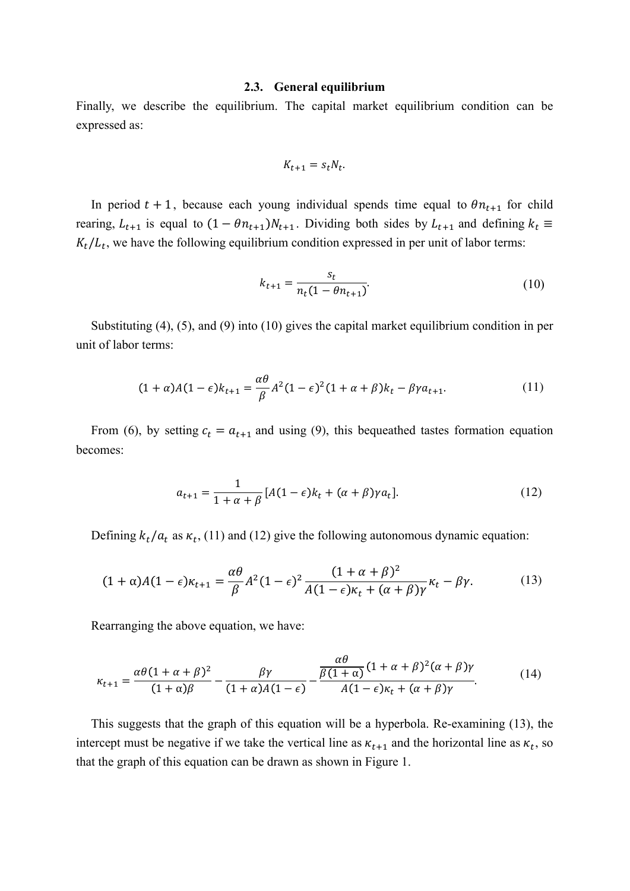#### **2.3. General equilibrium**

Finally, we describe the equilibrium. The capital market equilibrium condition can be expressed as:

$$
K_{t+1} = s_t N_t.
$$

In period  $t + 1$ , because each young individual spends time equal to  $\theta n_{t+1}$  for child rearing,  $L_{t+1}$  is equal to  $(1 - \theta n_{t+1}) N_{t+1}$ . Dividing both sides by  $L_{t+1}$  and defining  $k_t \equiv$  $K_t/L_t$ , we have the following equilibrium condition expressed in per unit of labor terms:

$$
k_{t+1} = \frac{s_t}{n_t(1 - \theta n_{t+1})}.\tag{10}
$$

Substituting (4), (5), and (9) into (10) gives the capital market equilibrium condition in per unit of labor terms:

$$
(1+\alpha)A(1-\epsilon)k_{t+1} = \frac{\alpha\theta}{\beta}A^2(1-\epsilon)^2(1+\alpha+\beta)k_t - \beta\gamma a_{t+1}.
$$
\n(11)

From (6), by setting  $c_t = a_{t+1}$  and using (9), this bequeathed tastes formation equation becomes:

$$
a_{t+1} = \frac{1}{1+\alpha+\beta} [A(1-\epsilon)k_t + (\alpha+\beta)\gamma a_t].
$$
 (12)

Defining  $k_t/a_t$  as  $\kappa_t$ , (11) and (12) give the following autonomous dynamic equation:

$$
(1+\alpha)A(1-\epsilon)\kappa_{t+1} = \frac{\alpha\theta}{\beta}A^2(1-\epsilon)^2\frac{(1+\alpha+\beta)^2}{A(1-\epsilon)\kappa_t + (\alpha+\beta)\gamma}\kappa_t - \beta\gamma.
$$
 (13)

Rearranging the above equation, we have:

$$
\kappa_{t+1} = \frac{\alpha \theta (1 + \alpha + \beta)^2}{(1 + \alpha)\beta} - \frac{\beta \gamma}{(1 + \alpha)A(1 - \epsilon)} - \frac{\frac{\alpha \theta}{\beta (1 + \alpha)} (1 + \alpha + \beta)^2 (\alpha + \beta) \gamma}{A(1 - \epsilon)\kappa_t + (\alpha + \beta)\gamma}.
$$
(14)

This suggests that the graph of this equation will be a hyperbola. Re-examining (13), the intercept must be negative if we take the vertical line as  $\kappa_{t+1}$  and the horizontal line as  $\kappa_t$ , so that the graph of this equation can be drawn as shown in Figure 1.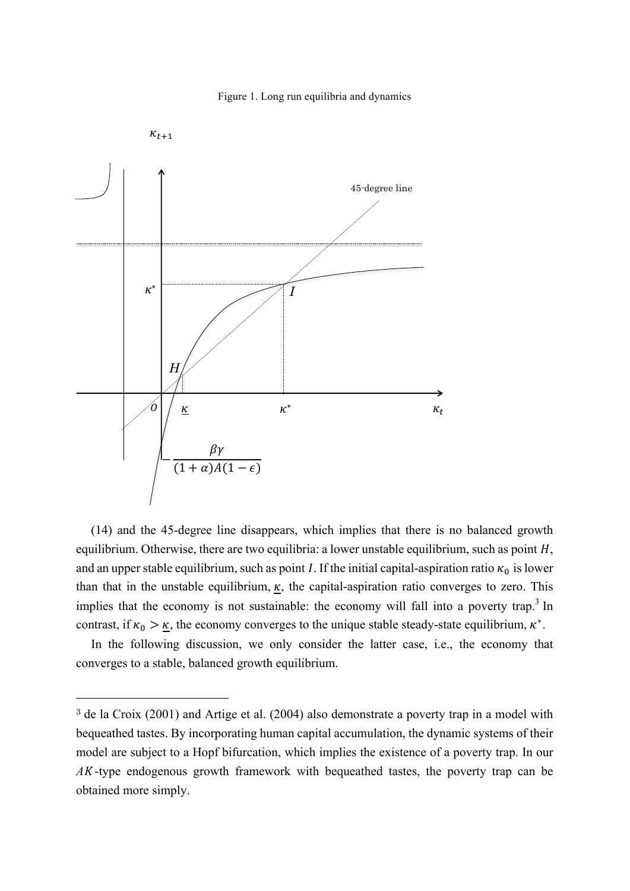



(14) and the 45-degree line disappears, which implies that there is no balanced growth equilibrium. Otherwise, there are two equilibria: a lower unstable equilibrium, such as point  $H$ , and an upper stable equilibrium, such as point *I*. If the initial capital-aspiration ratio  $\kappa_0$  is lower than that in the unstable equilibrium,  $\kappa$ , the capital-aspiration ratio converges to zero. This implies that the economy is not sustainable: the economy will fall into a poverty trap.<sup>3</sup> In contrast, if  $\kappa_0 > \underline{\kappa}$ , the economy converges to the unique stable steady-state equilibrium,  $\kappa^*$ .

In the following discussion, we only consider the latter case, i.e., the economy that converges to a stable, balanced growth equilibrium.

 $\overline{a}$ 

<sup>3</sup> de la Croix (2001) and Artige et al. (2004) also demonstrate a poverty trap in a model with bequeathed tastes. By incorporating human capital accumulation, the dynamic systems of their model are subject to a Hopf bifurcation, which implies the existence of a poverty trap. In our *A*-type endogenous growth framework with bequeathed tastes, the poverty trap can be obtained more simply.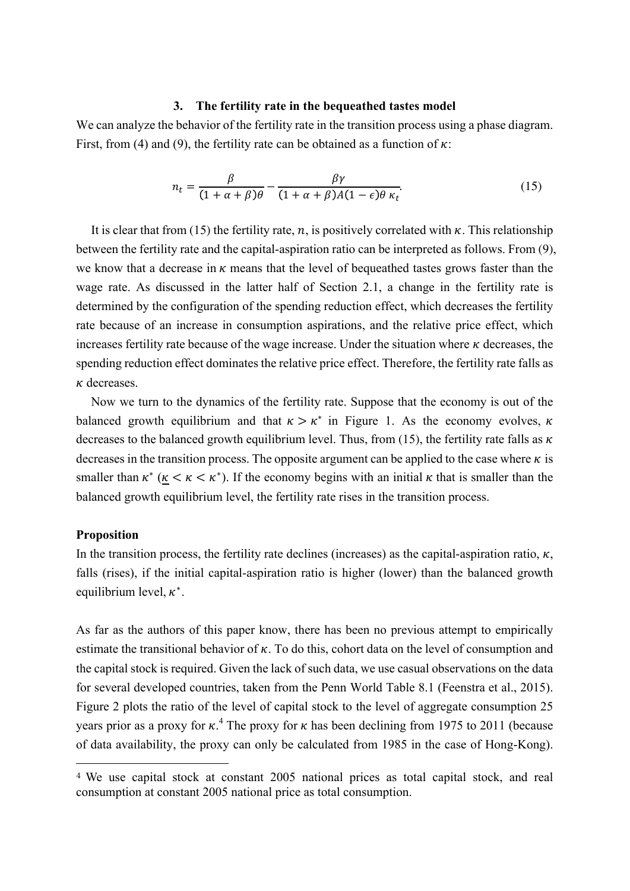#### **3. The fertility rate in the bequeathed tastes model**

We can analyze the behavior of the fertility rate in the transition process using a phase diagram. First, from (4) and (9), the fertility rate can be obtained as a function of  $\kappa$ :

$$
n_t = \frac{\beta}{(1 + \alpha + \beta)\theta} - \frac{\beta\gamma}{(1 + \alpha + \beta)A(1 - \epsilon)\theta \kappa_t}.
$$
 (15)

It is clear that from (15) the fertility rate, n, is positively correlated with  $\kappa$ . This relationship between the fertility rate and the capital-aspiration ratio can be interpreted as follows. From (9), we know that a decrease in  $\kappa$  means that the level of bequeathed tastes grows faster than the wage rate. As discussed in the latter half of Section 2.1, a change in the fertility rate is determined by the configuration of the spending reduction effect, which decreases the fertility rate because of an increase in consumption aspirations, and the relative price effect, which increases fertility rate because of the wage increase. Under the situation where  $\kappa$  decreases, the spending reduction effect dominates the relative price effect. Therefore, the fertility rate falls as  $\kappa$  decreases.

Now we turn to the dynamics of the fertility rate. Suppose that the economy is out of the balanced growth equilibrium and that  $\kappa > \kappa^*$  in Figure 1. As the economy evolves,  $\kappa$ decreases to the balanced growth equilibrium level. Thus, from (15), the fertility rate falls as  $\kappa$ decreases in the transition process. The opposite argument can be applied to the case where  $\kappa$  is smaller than  $\kappa^*$  ( $\kappa < \kappa^*$ ). If the economy begins with an initial  $\kappa$  that is smaller than the balanced growth equilibrium level, the fertility rate rises in the transition process.

#### **Proposition**

 $\overline{a}$ 

In the transition process, the fertility rate declines (increases) as the capital-aspiration ratio,  $\kappa$ , falls (rises), if the initial capital-aspiration ratio is higher (lower) than the balanced growth equilibrium level,  $\kappa^*$ .

As far as the authors of this paper know, there has been no previous attempt to empirically estimate the transitional behavior of  $\kappa$ . To do this, cohort data on the level of consumption and the capital stock is required. Given the lack of such data, we use casual observations on the data for several developed countries, taken from the Penn World Table 8.1 (Feenstra et al., 2015). Figure 2 plots the ratio of the level of capital stock to the level of aggregate consumption 25 years prior as a proxy for  $\kappa$ .<sup>4</sup> The proxy for  $\kappa$  has been declining from 1975 to 2011 (because of data availability, the proxy can only be calculated from 1985 in the case of Hong-Kong).

<sup>4</sup> We use capital stock at constant 2005 national prices as total capital stock, and real consumption at constant 2005 national price as total consumption.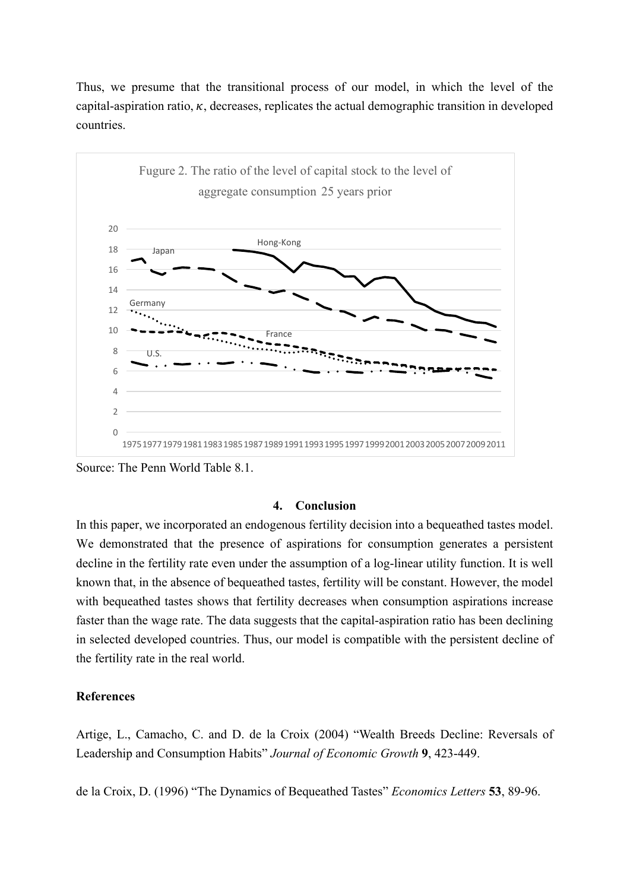Thus, we presume that the transitional process of our model, in which the level of the capital-aspiration ratio,  $\kappa$ , decreases, replicates the actual demographic transition in developed countries.



Source: The Penn World Table 8.1.

## **4. Conclusion**

In this paper, we incorporated an endogenous fertility decision into a bequeathed tastes model. We demonstrated that the presence of aspirations for consumption generates a persistent decline in the fertility rate even under the assumption of a log-linear utility function. It is well known that, in the absence of bequeathed tastes, fertility will be constant. However, the model with bequeathed tastes shows that fertility decreases when consumption aspirations increase faster than the wage rate. The data suggests that the capital-aspiration ratio has been declining in selected developed countries. Thus, our model is compatible with the persistent decline of the fertility rate in the real world.

## **References**

Artige, L., Camacho, C. and D. de la Croix (2004) "Wealth Breeds Decline: Reversals of Leadership and Consumption Habits" *Journal of Economic Growth* **9**, 423-449.

de la Croix, D. (1996) "The Dynamics of Bequeathed Tastes" *Economics Letters* **53**, 89-96.